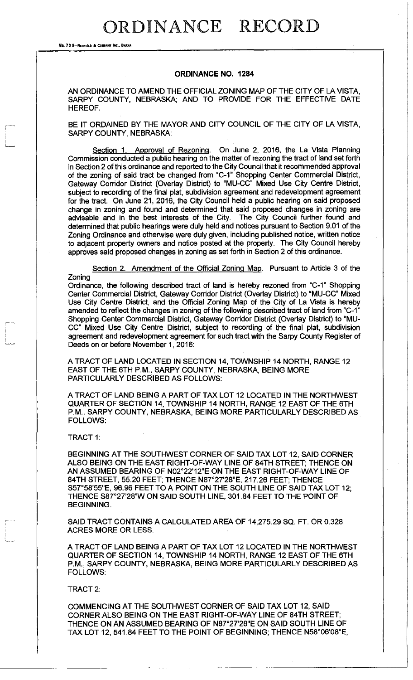## ORDINANCE RECORD

No. 72 8-REDRELD & COMPANY INC., OMAHA

## **ORDINANCE NO. 1284**

AN ORDINANCE TO AMEND THE OFFICIAL ZONING MAP OF THE CITY OF LA VISTA, SARPY COUNTY, NEBRASKA; AND TO PROVIDE FOR THE EFFECTIVE DATE HEREOF.

BE IT ORDAINED BY THE MAYOR AND CITY COUNCIL OF THE CITY OF LA VISTA, SARPY COUNTY, NEBRASKA:

Section 1. Approval of Rezoning. On June 2, 2016, the La Vista Planning Commission conducted a public hearing on the matter of rezoning the tract of land set forth in Section 2 of this ordinance and reported to the City Council that it recommended approval of the zoning of said tract be changed from "C-1" Shopping Center Commercial District, Gateway Corridor District (Overlay District) to "MU-CC" Mixed Use City Centre District, subject to recording of the final plat, subdivision agreement and redevelopment agreement for the tract. On June 21, 2016, the City Council held a public hearing on said proposed change in zoning and found and determined that said proposed changes in zoning are advisable and in the best interests of the City. The City Council further found and determined that public hearings were duly held and notices pursuant to Section 9.01 of the Zoning Ordinance and otherwise were duly given, including published notice, written notice to adjacent property owners and notice posted at the property. The City Council hereby approves said proposed changes in zoning as set forth in Section 2 of this ordinance.

Section 2. Amendment of the Official Zoning Map. Pursuant to Article 3 of the Zoning

Ordinance, the following described tract of land is hereby rezoned from "C-1" Shopping Center Commercial District, Gateway Corridor District (Overlay District) to "MU-CC" Mixed Use City Centre District, and the Official Zoning Map of the City of La Vista is hereby amended to reflect the changes in zoning of the following described tract of land from "C-1" Shopping Center Commercial District, Gateway Corridor District (Overlay District) to "MU-CC" Mixed Use City Centre District, subject to recording of the final plat, subdivision agreement and redevelopment agreement for such tract with the Sarpy County Register of Deeds on or before November 1, 2016:

A TRACT OF LAND LOCATED IN SECTION 14, TOWNSHIP 14 NORTH, RANGE 12 EAST OF THE 6TH P.M., SARPY COUNTY, NEBRASKA, BEING MORE PARTICULARLY DESCRIBED AS FOLLOWS:

A TRACT OF LAND BEING A PART OF TAX LOT 12 LOCATED IN THE NORTHWEST QUARTER OF SECTION 14, TOWNSHIP 14 NORTH, RANGE 12 EAST OF THE 6TH P.M., SARPY COUNTY, NEBRASKA, BEING MORE PARTICULARLY DESCRIBED AS FOLLOWS:

TRACT 1:

BEGINNING AT THE SOUTHWEST CORNER OF SAID TAX LOT 12, SAID CORNER ALSO BEING ON THE EAST RIGHT-OF-WAY LINE OF 84TH STREET; THENCE ON AN ASSUMED BEARING OF N02°22'12"E ON THE EAST RIGHT-OF-WAY LINE OF 84TH STREET, 55.20 FEET; THENCE N87°27'28"E, 217.26 FEET; THENCE S57°58'55"E, 96.96 FEET TO A POINT ON THE SOUTH LINE OF SAID TAX LOT 12; THENCE S87°27'28"W ON SAID SOUTH LINE, 301.84 FEET TO THE POINT OF BEGINNING.

SAID TRACT CONTAINS A CALCULATED AREA OF 14,275.29 SQ. FT. OR 0.328 ACRES MORE OR LESS.

A TRACT OF LAND BEING A PART OF TAX LOT 12 LOCATED IN THE NORTHWEST QUARTER OF SECTION 14, TOWNSHIP 14 NORTH, RANGE 12 EAST OF THE 6TH P.M., SARPY COUNTY, NEBRASKA, BEING MORE PARTICULARLY DESCRIBED AS FOLLOWS:

TRACT 2:

COMMENCING AT THE SOUTHWEST CORNER OF SAID TAX LOT 12, SAID CORNER ALSO BEING ON THE EAST RIGHT-OF-WAY LINE OF 84TH STREET; THENCE ON AN ASSUMED BEARING OF N87°27'28"E ON SAID SOUTH LINE OF TAX LOT 12, 541.84 FEET TO THE POINT OF BEGINNING; THENCE N58°06'08"E,